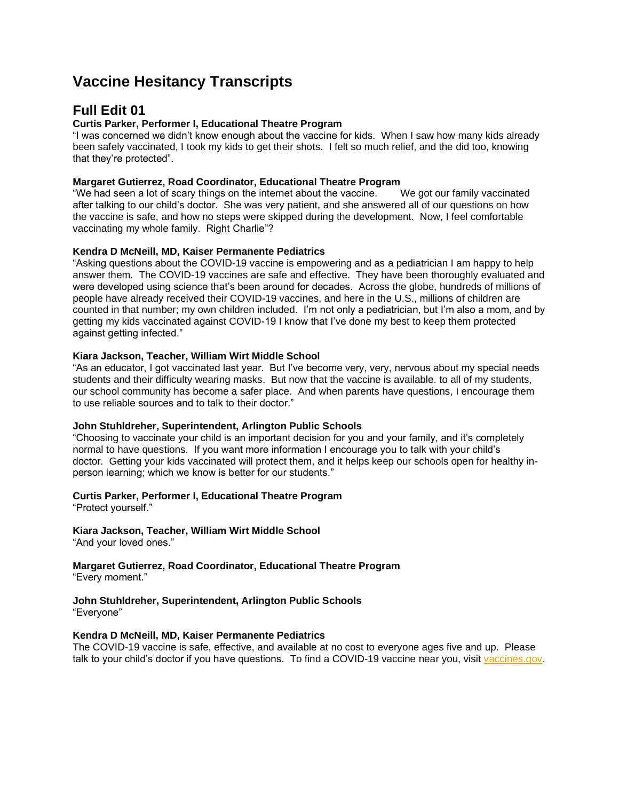# **Vaccine Hesitancy Transcripts**

## **Full Edit 01**

## **Curtis Parker, Performer I, Educational Theatre Program**

"I was concerned we didn't know enough about the vaccine for kids. When I saw how many kids already been safely vaccinated, I took my kids to get their shots. I felt so much relief, and the did too, knowing that they're protected".

## **Margaret Gutierrez, Road Coordinator, Educational Theatre Program**

"We had seen a lot of scary things on the internet about the vaccine. We got our family vaccinated after talking to our child's doctor. She was very patient, and she answered all of our questions on how the vaccine is safe, and how no steps were skipped during the development. Now, I feel comfortable vaccinating my whole family. Right Charlie"?

## **Kendra D McNeill, MD, Kaiser Permanente Pediatrics**

"Asking questions about the COVID-19 vaccine is empowering and as a pediatrician I am happy to help answer them. The COVID-19 vaccines are safe and effective. They have been thoroughly evaluated and were developed using science that's been around for decades. Across the globe, hundreds of millions of people have already received their COVID-19 vaccines, and here in the U.S., millions of children are counted in that number; my own children included. I'm not only a pediatrician, but I'm also a mom, and by getting my kids vaccinated against COVID-19 I know that I've done my best to keep them protected against getting infected."

## **Kiara Jackson, Teacher, William Wirt Middle School**

"As an educator, I got vaccinated last year. But I've become very, very, nervous about my special needs students and their difficulty wearing masks. But now that the vaccine is available. to all of my students, our school community has become a safer place. And when parents have questions, I encourage them to use reliable sources and to talk to their doctor."

## **John Stuhldreher, Superintendent, Arlington Public Schools**

"Choosing to vaccinate your child is an important decision for you and your family, and it's completely normal to have questions. If you want more information I encourage you to talk with your child's doctor. Getting your kids vaccinated will protect them, and it helps keep our schools open for healthy inperson learning; which we know is better for our students."

## **Curtis Parker, Performer I, Educational Theatre Program**

"Protect yourself."

## **Kiara Jackson, Teacher, William Wirt Middle School**

"And your loved ones."

### **Margaret Gutierrez, Road Coordinator, Educational Theatre Program** "Every moment."

## **John Stuhldreher, Superintendent, Arlington Public Schools**

"Everyone"

## **Kendra D McNeill, MD, Kaiser Permanente Pediatrics**

The COVID-19 vaccine is safe, effective, and available at no cost to everyone ages five and up. Please talk to your child's doctor if you have questions. To find a COVID-19 vaccine near you, visit [vaccines.gov.](https://urldefense.com/v3/__http:/vaccines.gov__;!!BZ50a36bapWJ!4yl-JWgywlD5HPlLCxaurQXCM-P3rLYvbr0TXKuVMYGsECvXFwS5ILxsrF7c-gMUgw$)